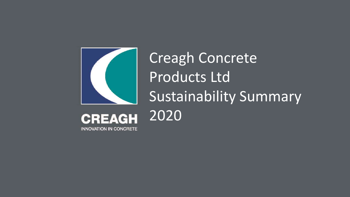

Creagh Concrete Products Ltd Sustainability Summary 2020

**CREAGH INNOVATION IN CONCRETE**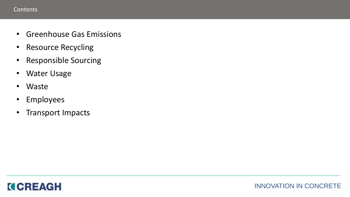## **Contents**

- Greenhouse Gas Emissions
- Resource Recycling
- Responsible Sourcing
- Water Usage
- Waste
- Employees
- Transport Impacts

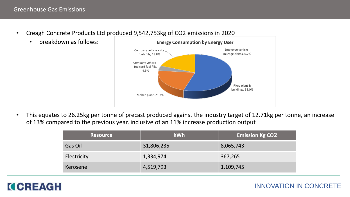- Creagh Concrete Products Ltd produced 9,542,753kg of CO2 emissions in 2020
	- breakdown as follows:



• This equates to 26.25kg per tonne of precast produced against the industry target of 12.71kg per tonne, an increase of 13% compared to the previous year, inclusive of an 11% increase production output

| <b>Resource</b> | <b>kWh</b> | <b>Emission Kg CO2</b> |
|-----------------|------------|------------------------|
| Gas Oil         | 31,806,235 | 8,065,743              |
| Electricity     | 1,334,974  | 367,265                |
| Kerosene        | 4,519,793  | 1,109,745              |



INNOVATION IN CONCRETE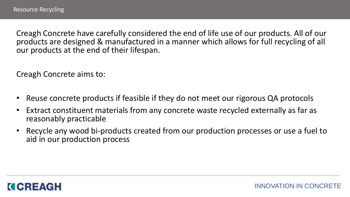Creagh Concrete have carefully considered the end of life use of our products. All of our products are designed & manufactured in a manner which allows for full recycling of all our products at the end of their lifespan.

Creagh Concrete aims to:

- Reuse concrete products if feasible if they do not meet our rigorous QA protocols
- Extract constituent materials from any concrete waste recycled externally as far as reasonably practicable
- Recycle any wood bi-products created from our production processes or use a fuel to aid in our production process

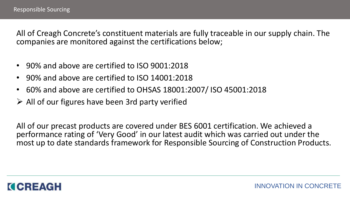All of Creagh Concrete's constituent materials are fully traceable in our supply chain. The companies are monitored against the certifications below;

- 90% and above are certified to ISO 9001:2018
- 90% and above are certified to ISO 14001:2018
- 60% and above are certified to OHSAS 18001:2007/ ISO 45001:2018
- $\triangleright$  All of our figures have been 3rd party verified

All of our precast products are covered under BES 6001 certification. We achieved a performance rating of 'Very Good' in our latest audit which was carried out under the most up to date standards framework for Responsible Sourcing of Construction Products.

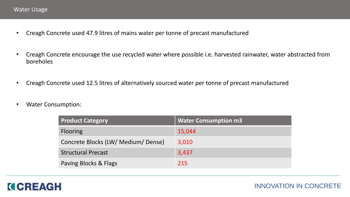- Creagh Concrete used 47.9 litres of mains water per tonne of precast manufactured
- Creagh Concrete encourage the use recycled water where possible i.e. harvested rainwater, water abstracted from boreholes
- Creagh Concrete used 12.5 litres of alternatively sourced water per tonne of precast manufactured
- Water Consumption:

| <b>Product Category</b>             | <b>Water Consumption m3</b> |
|-------------------------------------|-----------------------------|
| <b>Flooring</b>                     | 15,044                      |
| Concrete Blocks (LW/ Medium/ Dense) | 3,010                       |
| <b>Structural Precast</b>           | 3,437                       |
| Paving Blocks & Flags               | 215                         |

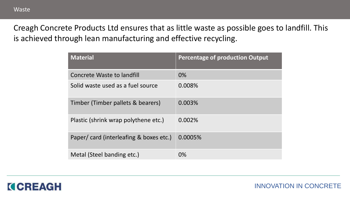Creagh Concrete Products Ltd ensures that as little waste as possible goes to landfill. This is achieved through lean manufacturing and effective recycling.

| <b>Material</b>                        | <b>Percentage of production Output</b> |
|----------------------------------------|----------------------------------------|
| Concrete Waste to landfill             | 0%                                     |
| Solid waste used as a fuel source      | 0.008%                                 |
| Timber (Timber pallets & bearers)      | 0.003%                                 |
| Plastic (shrink wrap polythene etc.)   | 0.002%                                 |
| Paper/card (interleafing & boxes etc.) | 0.0005%                                |
| Metal (Steel banding etc.)             | 0%                                     |



INNOVATION IN CONCRETE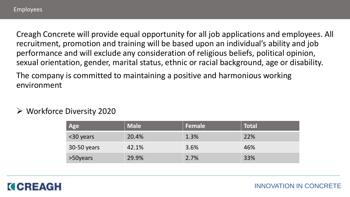Creagh Concrete will provide equal opportunity for all job applications and employees. All recruitment, promotion and training will be based upon an individual's ability and job performance and will exclude any consideration of religious beliefs, political opinion, sexual orientation, gender, marital status, ethnic or racial background, age or disability.

The company is committed to maintaining a positive and harmonious working environment

Workforce Diversity 2020

| Age         | <b>Male</b> | Female | <b>Total</b> |
|-------------|-------------|--------|--------------|
| <30 years   | 20.4%       | 1.3%   | 22%          |
| 30-50 years | 42.1%       | 3.6%   | 46%          |
| >50years    | 29.9%       | 2.7%   | 33%          |